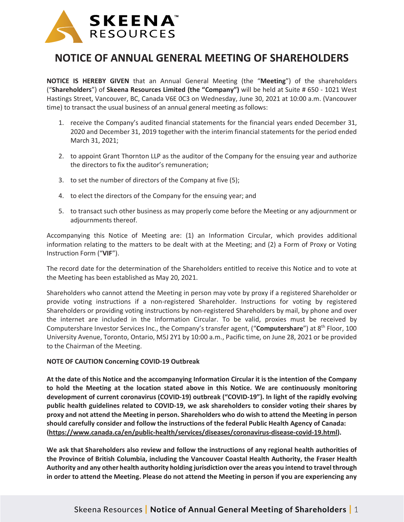

## **NOTICE OF ANNUAL GENERAL MEETING OF SHAREHOLDERS**

**NOTICE IS HEREBY GIVEN** that an Annual General Meeting (the "**Meeting**") of the shareholders ("**Shareholders**") of **Skeena Resources Limited (the "Company")** will be held at Suite # 650 - 1021 West Hastings Street, Vancouver, BC, Canada V6E 0C3 on Wednesday, June 30, 2021 at 10:00 a.m. (Vancouver time) to transact the usual business of an annual general meeting as follows:

- 1. receive the Company's audited financial statements for the financial years ended December 31, 2020 and December 31, 2019 together with the interim financial statements for the period ended March 31, 2021;
- 2. to appoint Grant Thornton LLP as the auditor of the Company for the ensuing year and authorize the directors to fix the auditor's remuneration;
- 3. to set the number of directors of the Company at five (5);
- 4. to elect the directors of the Company for the ensuing year; and
- 5. to transact such other business as may properly come before the Meeting or any adjournment or adjournments thereof.

Accompanying this Notice of Meeting are: (1) an Information Circular, which provides additional information relating to the matters to be dealt with at the Meeting; and (2) a Form of Proxy or Voting Instruction Form ("**VIF**").

The record date for the determination of the Shareholders entitled to receive this Notice and to vote at the Meeting has been established as May 20, 2021.

Shareholders who cannot attend the Meeting in person may vote by proxy if a registered Shareholder or provide voting instructions if a non-registered Shareholder. Instructions for voting by registered Shareholders or providing voting instructions by non-registered Shareholders by mail, by phone and over the internet are included in the Information Circular. To be valid, proxies must be received by Computershare Investor Services Inc., the Company's transfer agent, ("**Computershare**") at 8th Floor, 100 University Avenue, Toronto, Ontario, M5J 2Y1 by 10:00 a.m., Pacific time, on June 28, 2021 or be provided to the Chairman of the Meeting.

## **NOTE OF CAUTION Concerning COVID-19 Outbreak**

**At the date of this Notice and the accompanying Information Circular it is the intention of the Company to hold the Meeting at the location stated above in this Notice. We are continuously monitoring development of current coronavirus (COVID-19) outbreak ("COVID-19"). In light of the rapidly evolving public health guidelines related to COVID-19, we ask shareholders to consider voting their shares by proxy and not attend the Meeting in person. Shareholders who do wish to attend the Meeting in person should carefully consider and follow the instructions of the federal Public Health Agency of Canada: (https://www.canada.ca/en/public-health/services/diseases/coronavirus-disease-covid-19.html).**

**We ask that Shareholders also review and follow the instructions of any regional health authorities of the Province of British Columbia, including the Vancouver Coastal Health Authority, the Fraser Health Authority and any other health authority holding jurisdiction over the areas you intend to travel through in order to attend the Meeting. Please do not attend the Meeting in person if you are experiencing any**